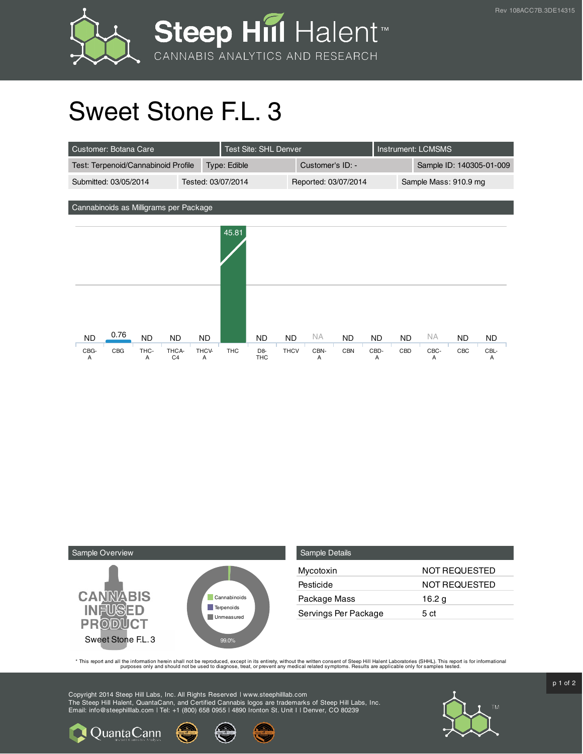



## Sweet Stone F.L. 3

| Customer: Botana Care                                                                                   | <b>Test Site: SHL Denver</b> |                                                           |                          |                        | <b>Instrument: LCMSMS</b> |                        |                          |                        |                  |                        |
|---------------------------------------------------------------------------------------------------------|------------------------------|-----------------------------------------------------------|--------------------------|------------------------|---------------------------|------------------------|--------------------------|------------------------|------------------|------------------------|
| Test: Terpenoid/Cannabinoid Profile                                                                     |                              | Type: Edible                                              |                          | Customer's ID: -       |                           |                        | Sample ID: 140305-01-009 |                        |                  |                        |
| Submitted: 03/05/2014                                                                                   | Tested: 03/07/2014           | Reported: 03/07/2014                                      |                          |                        |                           | Sample Mass: 910.9 mg  |                          |                        |                  |                        |
|                                                                                                         |                              |                                                           |                          |                        |                           |                        |                          |                        |                  |                        |
| Cannabinoids as Milligrams per Package                                                                  |                              |                                                           |                          |                        |                           |                        |                          |                        |                  |                        |
|                                                                                                         |                              | 45.81                                                     |                          |                        |                           |                        |                          |                        |                  |                        |
| 0.76<br><b>ND</b><br><b>ND</b><br><b>ND</b><br>CBG<br>CBG-<br>THC-<br>THCA-<br>C <sub>4</sub><br>Α<br>Α | <b>ND</b><br>THCV-<br>Α      | <b>ND</b><br><b>THC</b><br>D <sub>8</sub> -<br><b>THC</b> | <b>ND</b><br><b>THCV</b> | <b>NA</b><br>CBN-<br>Α | ND.<br><b>CBN</b>         | <b>ND</b><br>CBD-<br>Α | <b>ND</b><br>CBD         | <b>NA</b><br>CBC-<br>Α | <b>ND</b><br>CBC | <b>ND</b><br>CBL-<br>Α |



**Q** Quanta Cann

| <b>Sample Details</b> |               |
|-----------------------|---------------|
| Mycotoxin             | NOT REQUESTED |
| Pesticide             | NOT REQUESTED |
| Package Mass          | 16.2 $g$      |
| Servings Per Package  | 5 ct          |

This report and all the information herein shall not be reporduced, except in its entirety, without the written consent of Steep Hill Halent Laboratories (SHHL). This report is for informational all the instance, treat, or

Copyright 2014 Steep Hill Labs, Inc. All Rights Reserved | www.steephilllab.com The Steep Hill Halent, QuantaCann, and Certified Cannabis logos are trademarks of Steep Hill Labs, Inc. Email: info@steephilllab.com | Tel: +1 (800) 658 0955 | 4890 Ironton St. Unit I | Denver, CO 80239